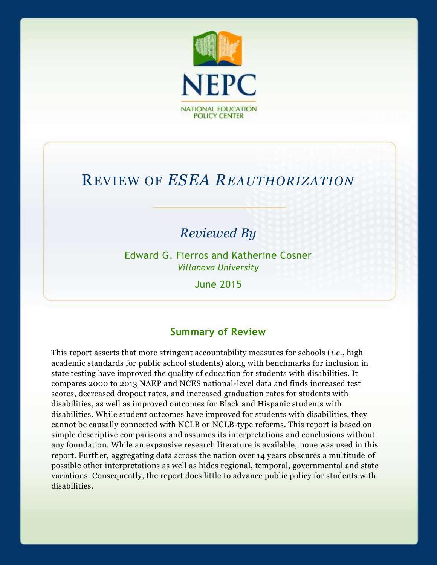

# REVIEW OF *ESEA REAUTHORIZATION*

## *Reviewed By*

Edward G. Fierros and Katherine Cosner *Villanova University*

June 2015

#### **Summary of Review**

This report asserts that more stringent accountability measures for schools (*i.e.*, high academic standards for public school students) along with benchmarks for inclusion in state testing have improved the quality of education for students with disabilities. It compares 2000 to 2013 NAEP and NCES national-level data and finds increased test scores, decreased dropout rates, and increased graduation rates for students with disabilities, as well as improved outcomes for Black and Hispanic students with disabilities. While student outcomes have improved for students with disabilities, they cannot be causally connected with NCLB or NCLB-type reforms. This report is based on simple descriptive comparisons and assumes its interpretations and conclusions without any foundation. While an expansive research literature is available, none was used in this report. Further, aggregating data across the nation over 14 years obscures a multitude of possible other interpretations as well as hides regional, temporal, governmental and state variations. Consequently, the report does little to advance public policy for students with disabilities.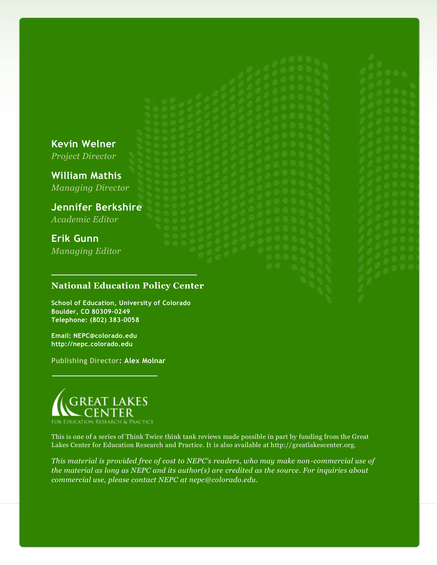#### **Kevin Welner**

*Project Director*

**William Mathis** *Managing Director*

**Jennifer Berkshire** *Academic Editor*

**Erik Gunn** *Managing Editor*

#### **National Education Policy Center**

**School of Education, University of Colorado Boulder, CO 80309-0249 Telephone: (802) 383-0058**

**Email: NEPC@colorado.edu http://nepc.colorado.edu**

**Publishing Director: Alex Molnar**



This is one of a series of Think Twice think tank reviews made possible in part by funding from the Great Lakes Center for Education Research and Practice. It is also available at http://greatlakescenter.org.

*This material is provided free of cost to NEPC's readers, who may make non-commercial use of the material as long as NEPC and its author(s) are credited as the source. For inquiries about commercial use, please contact NEPC at nepc@colorado.edu.*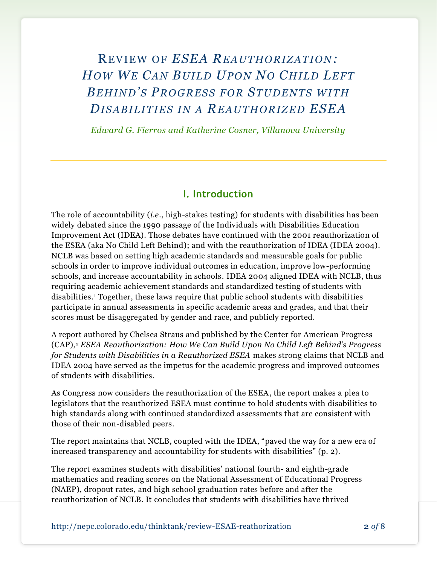## REVIEW O F *ESEA REAUTHORIZATION: HOW WE CAN BUILD UP ON NO CHILD LEFT BEHIND'S PROG RES S FOR STUDENTS W ITH DIS ABILITIES IN A REAUTHORIZED ESEA*

*Edward G. Fierros and Katherine Cosner, Villanova University*

#### **I. Introduction**

The role of accountability (*i.e.*, high-stakes testing) for students with disabilities has been widely debated since the 1990 passage of the Individuals with Disabilities Education Improvement Act (IDEA). Those debates have continued with the 2001 reauthorization of the ESEA (aka No Child Left Behind); and with the reauthorization of IDEA (IDEA 2004). NCLB was based on setting high academic standards and measurable goals for public schools in order to improve individual outcomes in education, improve low-performing schools, and increase accountability in schools. IDEA 2004 aligned IDEA with NCLB, thus requiring academic achievement standards and standardized testing of students with disabilities.<sup>1</sup> Together, these laws require that public school students with disabilities participate in annual assessments in specific academic areas and grades, and that their scores must be disaggregated by gender and race, and publicly reported.

A report authored by Chelsea Straus and published by the Center for American Progress (CAP),<sup>2</sup> *ESEA Reauthorization: How We Can Build Upon No Child Left Behind's Progress for Students with Disabilities in a Reauthorized ESEA* makes strong claims that NCLB and IDEA 2004 have served as the impetus for the academic progress and improved outcomes of students with disabilities.

As Congress now considers the reauthorization of the ESEA, the report makes a plea to legislators that the reauthorized ESEA must continue to hold students with disabilities to high standards along with continued standardized assessments that are consistent with those of their non-disabled peers.

The report maintains that NCLB, coupled with the IDEA, "paved the way for a new era of increased transparency and accountability for students with disabilities" (p. 2).

The report examines students with disabilities' national fourth- and eighth-grade mathematics and reading scores on the National Assessment of Educational Progress (NAEP), dropout rates, and high school graduation rates before and after the reauthorization of NCLB. It concludes that students with disabilities have thrived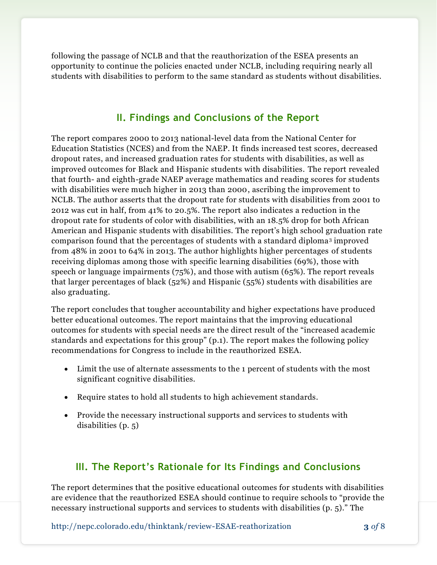following the passage of NCLB and that the reauthorization of the ESEA presents an opportunity to continue the policies enacted under NCLB, including requiring nearly all students with disabilities to perform to the same standard as students without disabilities.

#### **II. Findings and Conclusions of the Report**

The report compares 2000 to 2013 national-level data from the National Center for Education Statistics (NCES) and from the NAEP. It finds increased test scores, decreased dropout rates, and increased graduation rates for students with disabilities, as well as improved outcomes for Black and Hispanic students with disabilities. The report revealed that fourth- and eighth-grade NAEP average mathematics and reading scores for students with disabilities were much higher in 2013 than 2000, ascribing the improvement to NCLB. The author asserts that the dropout rate for students with disabilities from 2001 to 2012 was cut in half, from 41% to 20.5%. The report also indicates a reduction in the dropout rate for students of color with disabilities, with an 18.5% drop for both African American and Hispanic students with disabilities. The report's high school graduation rate comparison found that the percentages of students with a standard diploma<sup>3</sup> improved from 48% in 2001 to 64% in 2013. The author highlights higher percentages of students receiving diplomas among those with specific learning disabilities (69%), those with speech or language impairments (75%), and those with autism (65%). The report reveals that larger percentages of black (52%) and Hispanic (55%) students with disabilities are also graduating.

The report concludes that tougher accountability and higher expectations have produced better educational outcomes. The report maintains that the improving educational outcomes for students with special needs are the direct result of the "increased academic standards and expectations for this group" (p.1). The report makes the following policy recommendations for Congress to include in the reauthorized ESEA.

- Limit the use of alternate assessments to the 1 percent of students with the most significant cognitive disabilities.
- Require states to hold all students to high achievement standards.
- Provide the necessary instructional supports and services to students with disabilities (p. 5)

### **III. The Report's Rationale for Its Findings and Conclusions**

The report determines that the positive educational outcomes for students with disabilities are evidence that the reauthorized ESEA should continue to require schools to "provide the necessary instructional supports and services to students with disabilities (p. 5)." The

http://nepc.colorado.edu/thinktank/review-ESAE-reathorization **3** *of* 8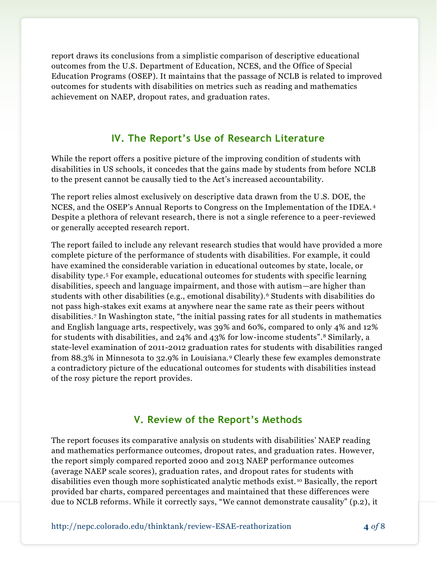report draws its conclusions from a simplistic comparison of descriptive educational outcomes from the U.S. Department of Education, NCES, and the Office of Special Education Programs (OSEP). It maintains that the passage of NCLB is related to improved outcomes for students with disabilities on metrics such as reading and mathematics achievement on NAEP, dropout rates, and graduation rates.

#### **IV. The Report's Use of Research Literature**

While the report offers a positive picture of the improving condition of students with disabilities in US schools, it concedes that the gains made by students from before NCLB to the present cannot be causally tied to the Act's increased accountability.

The report relies almost exclusively on descriptive data drawn from the U.S. DOE, the NCES, and the OSEP's Annual Reports to Congress on the Implementation of the IDEA. <sup>4</sup> Despite a plethora of relevant research, there is not a single reference to a peer -reviewed or generally accepted research report.

The report failed to include any relevant research studies that would have provided a more complete picture of the performance of students with disabilities. For example, it could have examined the considerable variation in educational outcomes by state, locale, or disability type.<sup>5</sup> For example, educational outcomes for students with specific learning disabilities, speech and language impairment, and those with autism—are higher than students with other disabilities (e.g., emotional disability). <sup>6</sup> Students with disabilities do not pass high-stakes exit exams at anywhere near the same rate as their peers without disabilities.<sup>7</sup> In Washington state, "the initial passing rates for all students in mathematics and English language arts, respectively, was 39% and 60%, compared to only 4% and 12% for students with disabilities, and 24% and 43% for low-income students".<sup>8</sup> Similarly, a state-level examination of 2011-2012 graduation rates for students with disabilities ranged from 88.3% in Minnesota to 32.9% in Louisiana.<sup>9</sup> Clearly these few examples demonstrate a contradictory picture of the educational outcomes for students with disabilities instead of the rosy picture the report provides.

#### **V. Review of the Report's Methods**

The report focuses its comparative analysis on students with disabilities' NAEP reading and mathematics performance outcomes, dropout rates, and graduation rates. However, the report simply compared reported 2000 and 2013 NAEP performance outcomes (average NAEP scale scores), graduation rates, and dropout rates for students with disabilities even though more sophisticated analytic methods exist. <sup>10</sup> Basically, the report provided bar charts, compared percentages and maintained that these differences were due to NCLB reforms. While it correctly says, "We cannot demonstrate causality" (p.2), it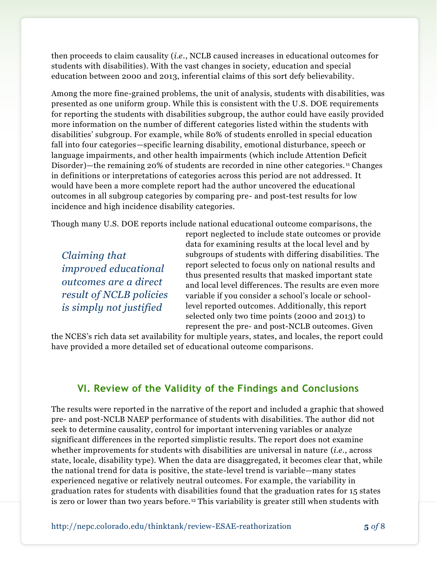then proceeds to claim causality (*i.e.*, NCLB caused increases in educational outcomes for students with disabilities). With the vast changes in society, education and special education between 2000 and 2013, inferential claims of this sort defy believability.

Among the more fine-grained problems, the unit of analysis, students with disabilities, was presented as one uniform group. While this is consistent with the U.S. DOE requirements for reporting the students with disabilities subgroup, the author could have easily provided more information on the number of different categories listed within the students with disabilities' subgroup. For example, while 80% of students enrolled in special education fall into four categories—specific learning disability, emotional disturbance, speech or language impairments, and other health impairments (which include Attention Deficit Disorder)—the remaining 20% of students are recorded in nine other categories. <sup>11</sup> Changes in definitions or interpretations of categories across this period are not addressed. It would have been a more complete report had the author uncovered the educational outcomes in all subgroup categories by comparing pre- and post-test results for low incidence and high incidence disability categories.

Though many U.S. DOE reports include national educational outcome comparisons, the

*Claiming that improved educational outcomes are a direct result of NCLB policies is simply not justified*

report neglected to include state outcomes or provide data for examining results at the local level and by subgroups of students with differing disabilities. The report selected to focus only on national results and thus presented results that masked important state and local level differences. The results are even more variable if you consider a school's locale or schoollevel reported outcomes. Additionally, this report selected only two time points (2000 and 2013) to represent the pre- and post-NCLB outcomes. Given

the NCES's rich data set availability for multiple years, states, and locales, the report could have provided a more detailed set of educational outcome comparisons.

#### **VI. Review of the Validity of the Findings and Conclusions**

The results were reported in the narrative of the report and included a graphic that showed pre- and post-NCLB NAEP performance of students with disabilities. The author did not seek to determine causality, control for important intervening variables or analyze significant differences in the reported simplistic results. The report does not examine whether improvements for students with disabilities are universal in nature (*i.e.*, across state, locale, disability type). When the data are disaggregated, it becomes clear that, while the national trend for data is positive, the state-level trend is variable—many states experienced negative or relatively neutral outcomes. For example, the variability in graduation rates for students with disabilities found that the graduation rates for 15 states is zero or lower than two years before. <sup>12</sup> This variability is greater still when students with

http://nepc.colorado.edu/thinktank/review-ESAE-reathorization **5** *of* 8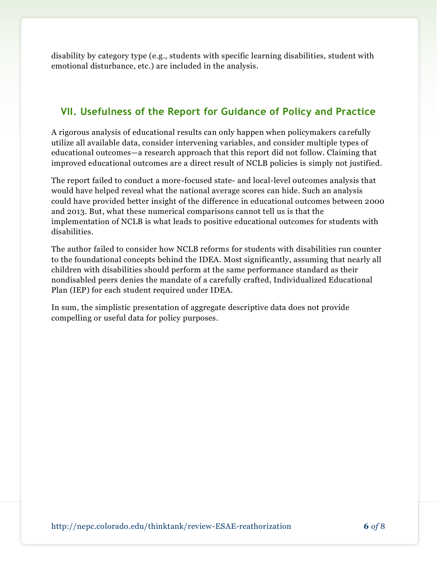disability by category type (e.g., students with specific learning disabilities, student with emotional disturbance, etc.) are included in the analysis.

## **VII. Usefulness of the Report for Guidance of Policy and Practice**

A rigorous analysis of educational results can only happen when policymakers carefully utilize all available data, consider intervening variables, and consider multiple types of educational outcomes—a research approach that this report did not follow. Claiming that improved educational outcomes are a direct result of NCLB policies is simply not justified.

The report failed to conduct a more-focused state- and local-level outcomes analysis that would have helped reveal what the national average scores can hide. Such an analysis could have provided better insight of the difference in educational outcomes between 2000 and 2013. But, what these numerical comparisons cannot tell us is that the implementation of NCLB is what leads to positive educational outcomes for students with disabilities.

The author failed to consider how NCLB reforms for students with disabilities run counter to the foundational concepts behind the IDEA. Most significantly, assuming that nearly all children with disabilities should perform at the same performance standard as their nondisabled peers denies the mandate of a carefully crafted, Individualized Educational Plan (IEP) for each student required under IDEA.

In sum, the simplistic presentation of aggregate descriptive data does not provide compelling or useful data for policy purposes.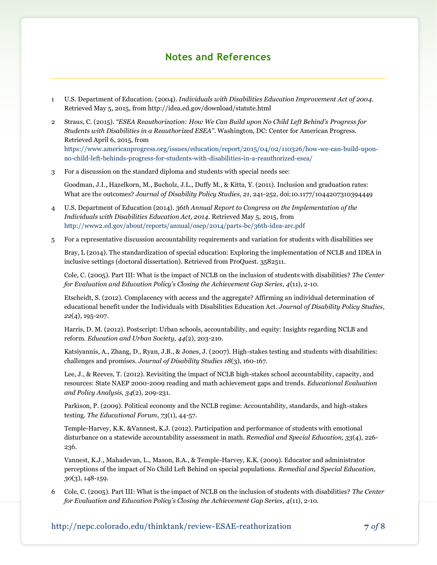#### **Notes and References**

- 1 U.S. Department of Education. (2004). *Individuals with Disabilities Education Improvement Act of 2004.*  Retrieved May 5, 2015, from http://idea.ed.gov/download/statute.html
- 2 Straus, C. (2015). *"ESEA Reauthorization: How We Can Build upon No Child Left Behind's Progress for Students with Disabilities in a Reauthorized ESEA"*. Washington, DC: Center for American Progress. Retrieved April 6, 2015, from [https://www.americanprogress.org/issues/education/report/2015/04/02/110326/how-we-can-build-upon](https://www.americanprogress.org/issues/education/report/2015/04/02/110326/how-we-can-build-upon-no-child-left-behinds-progress-for-students-with-disabilities-in-a-reauthorized-esea/)[no-child-left-behinds-progress-for-students-with-disabilities-in-a-reauthorized-esea/](https://www.americanprogress.org/issues/education/report/2015/04/02/110326/how-we-can-build-upon-no-child-left-behinds-progress-for-students-with-disabilities-in-a-reauthorized-esea/)
- 3 For a discussion on the standard diploma and students with special needs see:

Goodman, J.I., Hazelkorn, M., Bucholz, J.L., Duffy M., & Kitta, Y. (2011). Inclusion and graduation rates: What are the outcomes? *Journal of Disability Policy Studies*, *21*, 241-252, doi:10.1177/1044207310394449

- 4 U.S. Department of Education (2014). *36th Annual Report to Congress on the Implementation of the Individuals with Disabilities Education Act, 2014*. Retrieved May 5, 2015, from <http://www2.ed.gov/about/reports/annual/osep/2014/parts-bc/36th-idea-arc.pdf>
- 5 For a representative discussion accountability requirements and variation for students with disabilities see

Bray, L (2014). The standardization of special education: Exploring the implementation of NCLB and IDEA in inclusive settings (doctoral dissertation). Retrieved from ProQuest. 3582511.

Cole, C. (2005). Part III: What is the impact of NCLB on the inclusion of students with disabilities? *The Center for Evaluation and Education Policy's Closing the Achievement Gap Series, 4*(11), 2-10.

Etscheidt, S. (2012). Complacency with access and the aggregate? Affirming an individual determination of educational benefit under the Individuals with Disabilities Education Act. *Journal of Disability Policy Studies, 22*(4), 195-207.

Harris, D. M. (2012). Postscript: Urban schools, accountability, and equity: Insights regarding NCLB and reform. *Education and Urban Society, 44*(2), 203-210.

Katsiyannis, A., Zhang, D., Ryan, J.B., & Jones, J. (2007). High-stakes testing and students with disabilities: challenges and promises. *Journal of Disability Studies 18*(3), 160-167.

Lee, J., & Reeves, T. (2012). Revisiting the impact of NCLB high-stakes school accountability, capacity, and resources: State NAEP 2000-2009 reading and math achievement gaps and trends. *Educational Evaluation and Policy Analysis, 34*(2), 209-231.

Parkison, P. (2009). Political economy and the NCLB regime: Accountability, standards, and high-stakes testing. *The Educational Forum*, *73*(1), 44-57.

Temple-Harvey, K.K. &Vannest, K.J. (2012). Participation and performance of students with emotional disturbance on a statewide accountability assessment in math. *Remedial and Special Education, 33*(4), 226- 236.

Vannest, K.J., Mahadevan, L., Mason, B.A., & Temple-Harvey, K.K. (2009). Educator and administrator perceptions of the impact of No Child Left Behind on special populations. *Remedial and Special Education, 30*(3), 148-159.

6 Cole, C. (2005). Part III: What is the impact of NCLB on the inclusion of students with disabilities? *The Center for Evaluation and Education Policy's Closing the Achievement Gap Series, 4*(11), 2-10.

#### http://nepc.colorado.edu/thinktank/review-ESAE-reathorization **7** *of* 8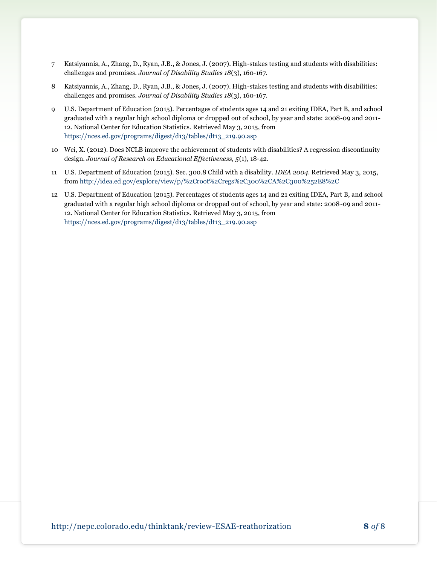- 7 Katsiyannis, A., Zhang, D., Ryan, J.B., & Jones, J. (2007). High-stakes testing and students with disabilities: challenges and promises. *Journal of Disability Studies 18*(3), 160-167.
- 8 Katsiyannis, A., Zhang, D., Ryan, J.B., & Jones, J. (2007). High-stakes testing and students with disabilities: challenges and promises. *Journal of Disability Studies 18*(3), 160-167.
- 9 U.S. Department of Education (2015). Percentages of students ages 14 and 21 exiting IDEA, Part B, and school graduated with a regular high school diploma or dropped out of school, by year and state: 2008-09 and 2011- 12. National Center for Education Statistics. Retrieved May 3, 2015, from [https://nces.ed.gov/programs/digest/d13/tables/dt13\\_219.90.asp](https://nces.ed.gov/programs/digest/d13/tables/dt13_219.90.asp)
- 10 Wei, X. (2012). Does NCLB improve the achievement of students with disabilities? A regression discontinuity design. *Journal of Research on Educational Effectiveness, 5*(1), 18-42.
- 11 U.S. Department of Education (2015). Sec. 300.8 Child with a disability. *IDEA 2004.* Retrieved May 3, 2015, from<http://idea.ed.gov/explore/view/p/%2Croot%2Cregs%2C300%2CA%2C300%252E8%2C>
- 12 U.S. Department of Education (2015). Percentages of students ages 14 and 21 exiting IDEA, Part B, and school graduated with a regular high school diploma or dropped out of school, by year and state: 2008-09 and 2011- 12. National Center for Education Statistics. Retrieved May 3, 2015, from [https://nces.ed.gov/programs/digest/d13/tables/dt13\\_219.90.asp](https://nces.ed.gov/programs/digest/d13/tables/dt13_219.90.asp)